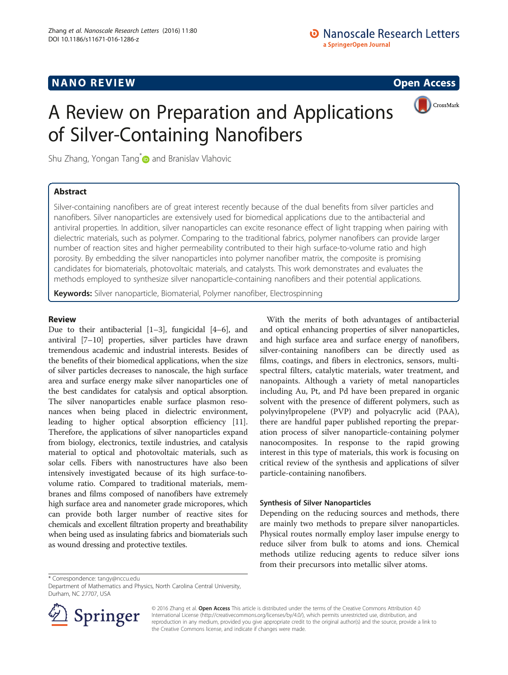# NAN O R EVI EW OPEN A CHARGE THE CHARGE THE CHARGE THREE CHARGE THE CHARGE THREE CHARGE THREE CHARGE THREE CHA



# A Review on Preparation and Applications of Silver-Containing Nanofibers

Shu Zhang, Yongan Tang<sup>\*</sup> and Branislav Vlahovic

# **Abstract**

Silver-containing nanofibers are of great interest recently because of the dual benefits from silver particles and nanofibers. Silver nanoparticles are extensively used for biomedical applications due to the antibacterial and antiviral properties. In addition, silver nanoparticles can excite resonance effect of light trapping when pairing with dielectric materials, such as polymer. Comparing to the traditional fabrics, polymer nanofibers can provide larger number of reaction sites and higher permeability contributed to their high surface-to-volume ratio and high porosity. By embedding the silver nanoparticles into polymer nanofiber matrix, the composite is promising candidates for biomaterials, photovoltaic materials, and catalysts. This work demonstrates and evaluates the methods employed to synthesize silver nanoparticle-containing nanofibers and their potential applications.

Keywords: Silver nanoparticle, Biomaterial, Polymer nanofiber, Electrospinning

Review Due to their antibacterial [\[1](#page-6-0)–[3\]](#page-6-0), fungicidal [\[4](#page-6-0)–[6\]](#page-6-0), and antiviral [\[7](#page-6-0)–[10](#page-6-0)] properties, silver particles have drawn tremendous academic and industrial interests. Besides of the benefits of their biomedical applications, when the size of silver particles decreases to nanoscale, the high surface area and surface energy make silver nanoparticles one of the best candidates for catalysis and optical absorption. The silver nanoparticles enable surface plasmon resonances when being placed in dielectric environment, leading to higher optical absorption efficiency [[11](#page-6-0)]. Therefore, the applications of silver nanoparticles expand from biology, electronics, textile industries, and catalysis material to optical and photovoltaic materials, such as solar cells. Fibers with nanostructures have also been intensively investigated because of its high surface-tovolume ratio. Compared to traditional materials, membranes and films composed of nanofibers have extremely high surface area and nanometer grade micropores, which can provide both larger number of reactive sites for chemicals and excellent filtration property and breathability when being used as insulating fabrics and biomaterials such as wound dressing and protective textiles.

With the merits of both advantages of antibacterial and optical enhancing properties of silver nanoparticles, and high surface area and surface energy of nanofibers, silver-containing nanofibers can be directly used as films, coatings, and fibers in electronics, sensors, multispectral filters, catalytic materials, water treatment, and nanopaints. Although a variety of metal nanoparticles including Au, Pt, and Pd have been prepared in organic solvent with the presence of different polymers, such as polyvinylpropelene (PVP) and polyacrylic acid (PAA), there are handful paper published reporting the preparation process of silver nanoparticle-containing polymer nanocomposites. In response to the rapid growing interest in this type of materials, this work is focusing on critical review of the synthesis and applications of silver particle-containing nanofibers.

# Synthesis of Silver Nanoparticles

Depending on the reducing sources and methods, there are mainly two methods to prepare silver nanoparticles. Physical routes normally employ laser impulse energy to reduce silver from bulk to atoms and ions. Chemical methods utilize reducing agents to reduce silver ions from their precursors into metallic silver atoms.

\* Correspondence: [tangy@nccu.edu](mailto:tangy@nccu.edu)

Department of Mathematics and Physics, North Carolina Central University, Durham, NC 27707, USA



© 2016 Zhang et al. Open Access This article is distributed under the terms of the Creative Commons Attribution 4.0 International License ([http://creativecommons.org/licenses/by/4.0/\)](http://creativecommons.org/licenses/by/4.0/), which permits unrestricted use, distribution, and reproduction in any medium, provided you give appropriate credit to the original author(s) and the source, provide a link to the Creative Commons license, and indicate if changes were made.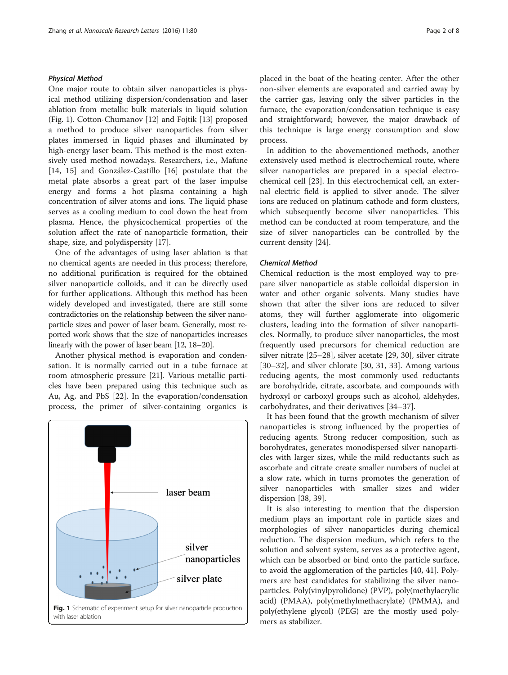# Physical Method

One major route to obtain silver nanoparticles is physical method utilizing dispersion/condensation and laser ablation from metallic bulk materials in liquid solution (Fig. 1). Cotton-Chumanov [[12](#page-6-0)] and Fojtik [[13\]](#page-6-0) proposed a method to produce silver nanoparticles from silver plates immersed in liquid phases and illuminated by high-energy laser beam. This method is the most extensively used method nowadays. Researchers, i.e., Mafune [[14, 15\]](#page-6-0) and González-Castillo [[16\]](#page-6-0) postulate that the metal plate absorbs a great part of the laser impulse energy and forms a hot plasma containing a high concentration of silver atoms and ions. The liquid phase serves as a cooling medium to cool down the heat from plasma. Hence, the physicochemical properties of the solution affect the rate of nanoparticle formation, their shape, size, and polydispersity [\[17\]](#page-6-0).

One of the advantages of using laser ablation is that no chemical agents are needed in this process; therefore, no additional purification is required for the obtained silver nanoparticle colloids, and it can be directly used for further applications. Although this method has been widely developed and investigated, there are still some contradictories on the relationship between the silver nanoparticle sizes and power of laser beam. Generally, most reported work shows that the size of nanoparticles increases linearly with the power of laser beam [\[12, 18](#page-6-0)–[20\]](#page-6-0).

Another physical method is evaporation and condensation. It is normally carried out in a tube furnace at room atmospheric pressure [[21\]](#page-6-0). Various metallic particles have been prepared using this technique such as Au, Ag, and PbS [\[22](#page-6-0)]. In the evaporation/condensation process, the primer of silver-containing organics is



placed in the boat of the heating center. After the other non-silver elements are evaporated and carried away by the carrier gas, leaving only the silver particles in the furnace, the evaporation/condensation technique is easy and straightforward; however, the major drawback of this technique is large energy consumption and slow process.

In addition to the abovementioned methods, another extensively used method is electrochemical route, where silver nanoparticles are prepared in a special electrochemical cell [\[23\]](#page-6-0). In this electrochemical cell, an external electric field is applied to silver anode. The silver ions are reduced on platinum cathode and form clusters, which subsequently become silver nanoparticles. This method can be conducted at room temperature, and the size of silver nanoparticles can be controlled by the current density [[24\]](#page-6-0).

## Chemical Method

Chemical reduction is the most employed way to prepare silver nanoparticle as stable colloidal dispersion in water and other organic solvents. Many studies have shown that after the silver ions are reduced to silver atoms, they will further agglomerate into oligomeric clusters, leading into the formation of silver nanoparticles. Normally, to produce silver nanoparticles, the most frequently used precursors for chemical reduction are silver nitrate [\[25](#page-6-0)–[28\]](#page-6-0), silver acetate [\[29, 30\]](#page-6-0), silver citrate [[30](#page-6-0)–[32](#page-6-0)], and silver chlorate [[30](#page-6-0), [31, 33](#page-6-0)]. Among various reducing agents, the most commonly used reductants are borohydride, citrate, ascorbate, and compounds with hydroxyl or carboxyl groups such as alcohol, aldehydes, carbohydrates, and their derivatives [\[34](#page-6-0)–[37\]](#page-6-0).

It has been found that the growth mechanism of silver nanoparticles is strong influenced by the properties of reducing agents. Strong reducer composition, such as borohydrates, generates monodispersed silver nanoparticles with larger sizes, while the mild reductants such as ascorbate and citrate create smaller numbers of nuclei at a slow rate, which in turns promotes the generation of silver nanoparticles with smaller sizes and wider dispersion [[38](#page-6-0), [39](#page-6-0)].

It is also interesting to mention that the dispersion medium plays an important role in particle sizes and morphologies of silver nanoparticles during chemical reduction. The dispersion medium, which refers to the solution and solvent system, serves as a protective agent, which can be absorbed or bind onto the particle surface, to avoid the agglomeration of the particles [\[40](#page-6-0), [41](#page-6-0)]. Polymers are best candidates for stabilizing the silver nanoparticles. Poly(vinylpyrolidone) (PVP), poly(methylacrylic acid) (PMAA), poly(methylmethacrylate) (PMMA), and poly(ethylene glycol) (PEG) are the mostly used polymers as stabilizer.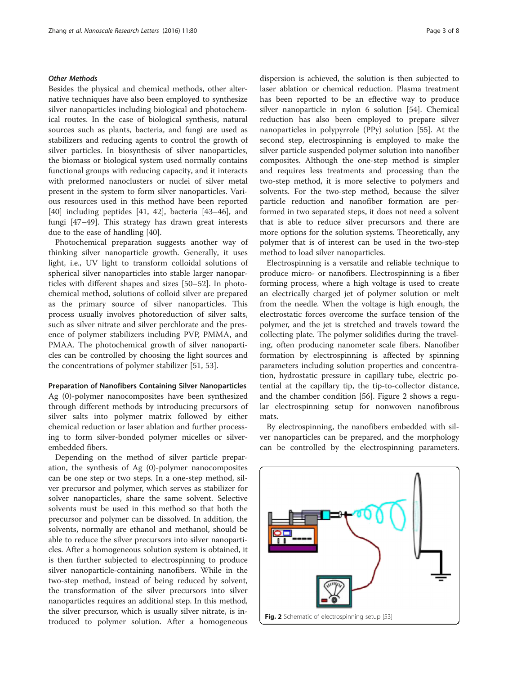# Other Methods

Besides the physical and chemical methods, other alternative techniques have also been employed to synthesize silver nanoparticles including biological and photochemical routes. In the case of biological synthesis, natural sources such as plants, bacteria, and fungi are used as stabilizers and reducing agents to control the growth of silver particles. In biosynthesis of silver nanoparticles, the biomass or biological system used normally contains functional groups with reducing capacity, and it interacts with preformed nanoclusters or nuclei of silver metal present in the system to form silver nanoparticles. Various resources used in this method have been reported [[40\]](#page-6-0) including peptides [[41, 42](#page-6-0)], bacteria [[43](#page-6-0)–[46](#page-6-0)], and fungi [[47](#page-6-0)–[49](#page-7-0)]. This strategy has drawn great interests due to the ease of handling [\[40](#page-6-0)].

Photochemical preparation suggests another way of thinking silver nanoparticle growth. Generally, it uses light, i.e., UV light to transform colloidal solutions of spherical silver nanoparticles into stable larger nanoparticles with different shapes and sizes [\[50](#page-7-0)–[52\]](#page-7-0). In photochemical method, solutions of colloid silver are prepared as the primary source of silver nanoparticles. This process usually involves photoreduction of silver salts, such as silver nitrate and silver perchlorate and the presence of polymer stabilizers including PVP, PMMA, and PMAA. The photochemical growth of silver nanoparticles can be controlled by choosing the light sources and the concentrations of polymer stabilizer [\[51, 53\]](#page-7-0).

## Preparation of Nanofibers Containing Silver Nanoparticles

Ag (0)-polymer nanocomposites have been synthesized through different methods by introducing precursors of silver salts into polymer matrix followed by either chemical reduction or laser ablation and further processing to form silver-bonded polymer micelles or silverembedded fibers.

Depending on the method of silver particle preparation, the synthesis of Ag (0)-polymer nanocomposites can be one step or two steps. In a one-step method, silver precursor and polymer, which serves as stabilizer for solver nanoparticles, share the same solvent. Selective solvents must be used in this method so that both the precursor and polymer can be dissolved. In addition, the solvents, normally are ethanol and methanol, should be able to reduce the silver precursors into silver nanoparticles. After a homogeneous solution system is obtained, it is then further subjected to electrospinning to produce silver nanoparticle-containing nanofibers. While in the two-step method, instead of being reduced by solvent, the transformation of the silver precursors into silver nanoparticles requires an additional step. In this method, the silver precursor, which is usually silver nitrate, is introduced to polymer solution. After a homogeneous

dispersion is achieved, the solution is then subjected to laser ablation or chemical reduction. Plasma treatment has been reported to be an effective way to produce silver nanoparticle in nylon 6 solution [[54\]](#page-7-0). Chemical reduction has also been employed to prepare silver nanoparticles in polypyrrole (PPy) solution [\[55\]](#page-7-0). At the second step, electrospinning is employed to make the silver particle suspended polymer solution into nanofiber composites. Although the one-step method is simpler and requires less treatments and processing than the two-step method, it is more selective to polymers and solvents. For the two-step method, because the silver particle reduction and nanofiber formation are performed in two separated steps, it does not need a solvent that is able to reduce silver precursors and there are more options for the solution systems. Theoretically, any polymer that is of interest can be used in the two-step method to load silver nanoparticles.

Electrospinning is a versatile and reliable technique to produce micro- or nanofibers. Electrospinning is a fiber forming process, where a high voltage is used to create an electrically charged jet of polymer solution or melt from the needle. When the voltage is high enough, the electrostatic forces overcome the surface tension of the polymer, and the jet is stretched and travels toward the collecting plate. The polymer solidifies during the traveling, often producing nanometer scale fibers. Nanofiber formation by electrospinning is affected by spinning parameters including solution properties and concentration, hydrostatic pressure in capillary tube, electric potential at the capillary tip, the tip-to-collector distance, and the chamber condition [\[56](#page-7-0)]. Figure 2 shows a regular electrospinning setup for nonwoven nanofibrous mats.

By electrospinning, the nanofibers embedded with silver nanoparticles can be prepared, and the morphology can be controlled by the electrospinning parameters.



Fig. 2 Schematic of electrospinning setup [[53](#page-7-0)]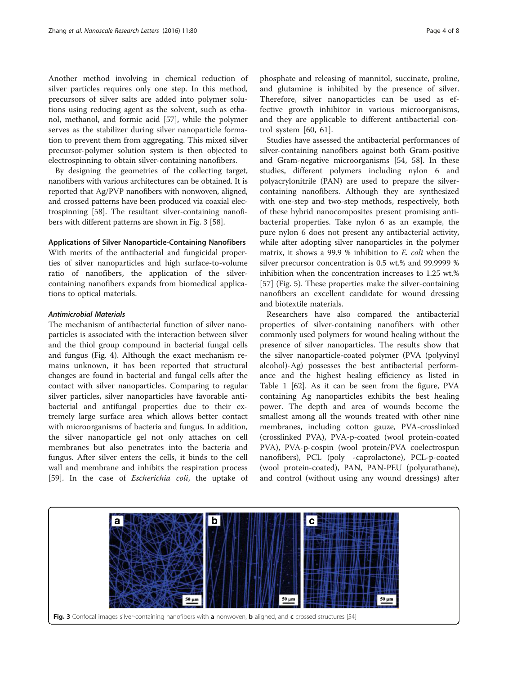Another method involving in chemical reduction of silver particles requires only one step. In this method, precursors of silver salts are added into polymer solutions using reducing agent as the solvent, such as ethanol, methanol, and formic acid [[57\]](#page-7-0), while the polymer serves as the stabilizer during silver nanoparticle formation to prevent them from aggregating. This mixed silver precursor-polymer solution system is then objected to electrospinning to obtain silver-containing nanofibers.

By designing the geometries of the collecting target, nanofibers with various architectures can be obtained. It is reported that Ag/PVP nanofibers with nonwoven, aligned, and crossed patterns have been produced via coaxial electrospinning [[58](#page-7-0)]. The resultant silver-containing nanofibers with different patterns are shown in Fig. 3 [\[58\]](#page-7-0).

# Applications of Silver Nanoparticle-Containing Nanofibers

With merits of the antibacterial and fungicidal properties of silver nanoparticles and high surface-to-volume ratio of nanofibers, the application of the silvercontaining nanofibers expands from biomedical applications to optical materials.

# Antimicrobial Materials

The mechanism of antibacterial function of silver nanoparticles is associated with the interaction between silver and the thiol group compound in bacterial fungal cells and fungus (Fig. [4\)](#page-4-0). Although the exact mechanism remains unknown, it has been reported that structural changes are found in bacterial and fungal cells after the contact with silver nanoparticles. Comparing to regular silver particles, silver nanoparticles have favorable antibacterial and antifungal properties due to their extremely large surface area which allows better contact with microorganisms of bacteria and fungus. In addition, the silver nanoparticle gel not only attaches on cell membranes but also penetrates into the bacteria and fungus. After silver enters the cells, it binds to the cell wall and membrane and inhibits the respiration process [[59\]](#page-7-0). In the case of Escherichia coli, the uptake of

phosphate and releasing of mannitol, succinate, proline, and glutamine is inhibited by the presence of silver. Therefore, silver nanoparticles can be used as effective growth inhibitor in various microorganisms, and they are applicable to different antibacterial control system [[60, 61](#page-7-0)].

Studies have assessed the antibacterial performances of silver-containing nanofibers against both Gram-positive and Gram-negative microorganisms [\[54](#page-7-0), [58\]](#page-7-0). In these studies, different polymers including nylon 6 and polyacrylonitrile (PAN) are used to prepare the silvercontaining nanofibers. Although they are synthesized with one-step and two-step methods, respectively, both of these hybrid nanocomposites present promising antibacterial properties. Take nylon 6 as an example, the pure nylon 6 does not present any antibacterial activity, while after adopting silver nanoparticles in the polymer matrix, it shows a 99.9 % inhibition to E. coli when the silver precursor concentration is 0.5 wt.% and 99.9999 % inhibition when the concentration increases to 1.25 wt.% [[57\]](#page-7-0) (Fig. [5\)](#page-4-0). These properties make the silver-containing nanofibers an excellent candidate for wound dressing and biotextile materials.

Researchers have also compared the antibacterial properties of silver-containing nanofibers with other commonly used polymers for wound healing without the presence of silver nanoparticles. The results show that the silver nanoparticle-coated polymer (PVA (polyvinyl alcohol)-Ag) possesses the best antibacterial performance and the highest healing efficiency as listed in Table [1](#page-5-0) [[62](#page-7-0)]. As it can be seen from the figure, PVA containing Ag nanoparticles exhibits the best healing power. The depth and area of wounds become the smallest among all the wounds treated with other nine membranes, including cotton gauze, PVA-crosslinked (crosslinked PVA), PVA-p-coated (wool protein-coated PVA), PVA-p-cospin (wool protein/PVA coelectrospun nanofibers), PCL (poly -caprolactone), PCL-p-coated (wool protein-coated), PAN, PAN-PEU (polyurathane), and control (without using any wound dressings) after

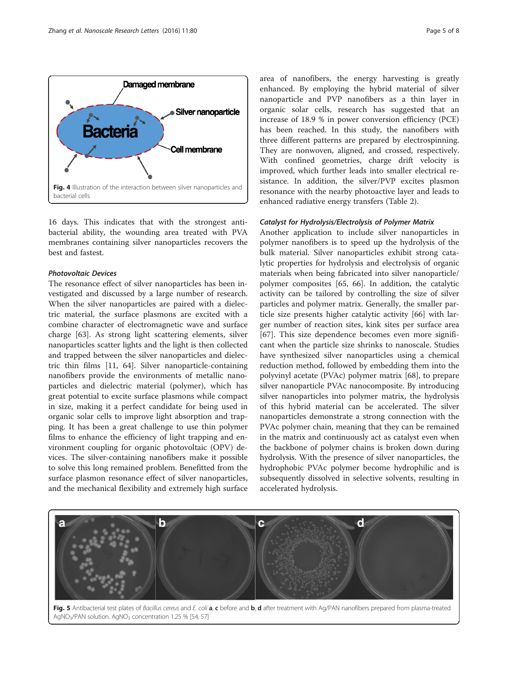

<span id="page-4-0"></span>

16 days. This indicates that with the strongest antibacterial ability, the wounding area treated with PVA membranes containing silver nanoparticles recovers the best and fastest.

# Photovoltaic Devices

The resonance effect of silver nanoparticles has been investigated and discussed by a large number of research. When the silver nanoparticles are paired with a dielectric material, the surface plasmons are excited with a combine character of electromagnetic wave and surface charge [[63](#page-7-0)]. As strong light scattering elements, silver nanoparticles scatter lights and the light is then collected and trapped between the silver nanoparticles and dielectric thin films [[11,](#page-6-0) [64\]](#page-7-0). Silver nanoparticle-containing nanofibers provide the environments of metallic nanoparticles and dielectric material (polymer), which has great potential to excite surface plasmons while compact in size, making it a perfect candidate for being used in organic solar cells to improve light absorption and trapping. It has been a great challenge to use thin polymer films to enhance the efficiency of light trapping and environment coupling for organic photovoltaic (OPV) devices. The silver-containing nanofibers make it possible to solve this long remained problem. Benefitted from the surface plasmon resonance effect of silver nanoparticles, and the mechanical flexibility and extremely high surface

area of nanofibers, the energy harvesting is greatly enhanced. By employing the hybrid material of silver nanoparticle and PVP nanofibers as a thin layer in organic solar cells, research has suggested that an increase of 18.9 % in power conversion efficiency (PCE) has been reached. In this study, the nanofibers with three different patterns are prepared by electrospinning. They are nonwoven, aligned, and crossed, respectively. With confined geometries, charge drift velocity is improved, which further leads into smaller electrical resistance. In addition, the silver/PVP excites plasmon resonance with the nearby photoactive layer and leads to enhanced radiative energy transfers (Table [2\)](#page-5-0).

# Catalyst for Hydrolysis/Electrolysis of Polymer Matrix

Another application to include silver nanoparticles in polymer nanofibers is to speed up the hydrolysis of the bulk material. Silver nanoparticles exhibit strong catalytic properties for hydrolysis and electrolysis of organic materials when being fabricated into silver nanoparticle/ polymer composites [[65](#page-7-0), [66](#page-7-0)]. In addition, the catalytic activity can be tailored by controlling the size of silver particles and polymer matrix. Generally, the smaller particle size presents higher catalytic activity [[66\]](#page-7-0) with larger number of reaction sites, kink sites per surface area [[67\]](#page-7-0). This size dependence becomes even more significant when the particle size shrinks to nanoscale. Studies have synthesized silver nanoparticles using a chemical reduction method, followed by embedding them into the polyvinyl acetate (PVAc) polymer matrix [[68\]](#page-7-0), to prepare silver nanoparticle PVAc nanocomposite. By introducing silver nanoparticles into polymer matrix, the hydrolysis of this hybrid material can be accelerated. The silver nanoparticles demonstrate a strong connection with the PVAc polymer chain, meaning that they can be remained in the matrix and continuously act as catalyst even when the backbone of polymer chains is broken down during hydrolysis. With the presence of silver nanoparticles, the hydrophobic PVAc polymer become hydrophilic and is subsequently dissolved in selective solvents, resulting in accelerated hydrolysis.



AgNO<sub>3</sub>/PAN solution. AgNO<sub>3</sub> concentration 1.25 % [[54](#page-7-0), [57\]](#page-7-0)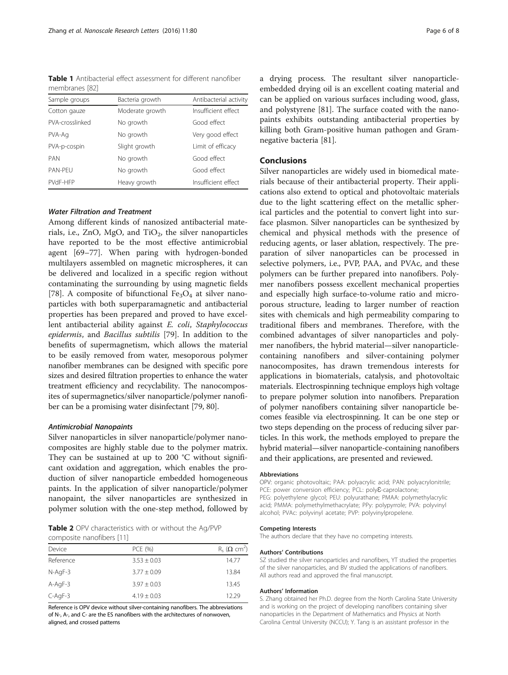<span id="page-5-0"></span>Table 1 Antibacterial effect assessment for different nanofiber membranes [[82](#page-7-0)]

| Sample groups   | Bacteria growth | Antibacterial activity |
|-----------------|-----------------|------------------------|
| Cotton gauze    | Moderate growth | Insufficient effect    |
| PVA-crosslinked | No growth       | Good effect            |
| PVA-Aq          | No growth       | Very good effect       |
| PVA-p-cospin    | Slight growth   | Limit of efficacy      |
| PAN             | No growth       | Good effect            |
| PAN-PFU         | No growth       | Good effect            |
| PVdF-HFP        | Heavy growth    | Insufficient effect    |

# Water Filtration and Treatment

Among different kinds of nanosized antibacterial materials, i.e., ZnO, MgO, and  $TiO<sub>2</sub>$ , the silver nanoparticles have reported to be the most effective antimicrobial agent [\[69](#page-7-0)–[77\]](#page-7-0). When paring with hydrogen-bonded multilayers assembled on magnetic microspheres, it can be delivered and localized in a specific region without contaminating the surrounding by using magnetic fields [[78\]](#page-7-0). A composite of bifunctional  $Fe<sub>3</sub>O<sub>4</sub>$  at silver nanoparticles with both superparamagnetic and antibacterial properties has been prepared and proved to have excellent antibacterial ability against E. coli, Staphylococcus epidermis, and Bacillus subtilis [[79\]](#page-7-0). In addition to the benefits of supermagnetism, which allows the material to be easily removed from water, mesoporous polymer nanofiber membranes can be designed with specific pore sizes and desired filtration properties to enhance the water treatment efficiency and recyclability. The nanocomposites of supermagnetics/silver nanoparticle/polymer nanofiber can be a promising water disinfectant [[79](#page-7-0), [80\]](#page-7-0).

## Antimicrobial Nanopaints

Silver nanoparticles in silver nanoparticle/polymer nanocomposites are highly stable due to the polymer matrix. They can be sustained at up to 200 °C without significant oxidation and aggregation, which enables the production of silver nanoparticle embedded homogeneous paints. In the application of silver nanoparticle/polymer nanopaint, the silver nanoparticles are synthesized in polymer solution with the one-step method, followed by

Table 2 OPV characteristics with or without the Ag/PVP composite nanofibers [[11\]](#page-6-0)

| Device         | PCE (%)         | $R_s$ ( $\Omega$ cm <sup>2</sup> ) |
|----------------|-----------------|------------------------------------|
| Reference      | $3.53 \pm 0.03$ | 14.77                              |
| $N-AqF-3$      | $3.77 \pm 0.09$ | 13.84                              |
| A-AqF-3        | $3.97 \pm 0.03$ | 13.45                              |
| $C$ -Aq $F$ -3 | $4.19 \pm 0.03$ | 12.29                              |

Reference is OPV device without silver-containing nanofibers. The abbreviations of N-, A-, and C- are the ES nanofibers with the architectures of nonwoven, aligned, and crossed patterns

a drying process. The resultant silver nanoparticleembedded drying oil is an excellent coating material and can be applied on various surfaces including wood, glass, and polystyrene [\[81](#page-7-0)]. The surface coated with the nanopaints exhibits outstanding antibacterial properties by killing both Gram-positive human pathogen and Gramnegative bacteria [\[81](#page-7-0)].

Silver nanoparticles are widely used in biomedical materials because of their antibacterial property. Their applications also extend to optical and photovoltaic materials due to the light scattering effect on the metallic spherical particles and the potential to convert light into surface plasmon. Silver nanoparticles can be synthesized by chemical and physical methods with the presence of reducing agents, or laser ablation, respectively. The preparation of silver nanoparticles can be processed in selective polymers, i.e., PVP, PAA, and PVAc, and these polymers can be further prepared into nanofibers. Polymer nanofibers possess excellent mechanical properties and especially high surface-to-volume ratio and microporous structure, leading to larger number of reaction sites with chemicals and high permeability comparing to traditional fibers and membranes. Therefore, with the combined advantages of silver nanoparticles and polymer nanofibers, the hybrid material—silver nanoparticlecontaining nanofibers and silver-containing polymer nanocomposites, has drawn tremendous interests for applications in biomaterials, catalysis, and photovoltaic materials. Electrospinning technique employs high voltage to prepare polymer solution into nanofibers. Preparation of polymer nanofibers containing silver nanoparticle becomes feasible via electrospinning. It can be one step or two steps depending on the process of reducing silver particles. In this work, the methods employed to prepare the hybrid material—silver nanoparticle-containing nanofibers and their applications, are presented and reviewed.

#### Abbreviations

OPV: organic photovoltaic; PAA: polyacrylic acid; PAN: polyacrylonitrile; PCE: power conversion efficiency; PCL: poly &-caprolactone; PEG: polyethylene glycol; PEU: polyurathane; PMAA: polymethylacrylic acid; PMMA: polymethylmethacrylate; PPy: polypyrrole; PVA: polyvinyl alcohol; PVAc: polyvinyl acetate; PVP: polyvinylpropelene.

#### Competing Interests

The authors declare that they have no competing interests.

#### Authors' Contributions

SZ studied the silver nanoparticles and nanofibers, YT studied the properties of the silver nanoparticles, and BV studied the applications of nanofibers. All authors read and approved the final manuscript.

#### Authors' Information

S. Zhang obtained her Ph.D. degree from the North Carolina State University and is working on the project of developing nanofibers containing silver nanoparticles in the Department of Mathematics and Physics at North Carolina Central University (NCCU); Y. Tang is an assistant professor in the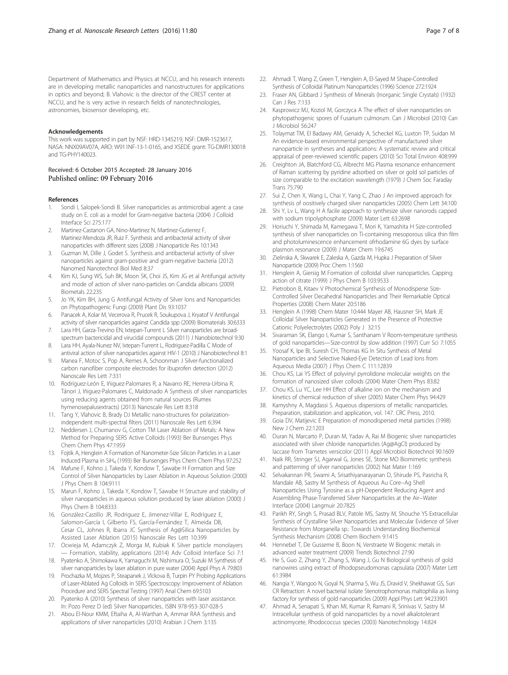#### <span id="page-6-0"></span>Acknowledgements

This work was supported in part by NSF: HRD-1345219, NSF: DMR-1523617, NASA: NNX09AV07A, ARO: W911NF-13-1-0165, and XSEDE grant: TG-DMR130018 and TG-PHY140023.

### Received: 6 October 2015 Accepted: 28 January 2016 Published online: 09 February 2016

#### References

- 1. Sondi I, Salopek-Sondi B. Silver nanoparticles as antimicrobial agent: a case study on E. coli as a model for Gram-negative bacteria (2004) J Colloid Interface Sci 275:177
- 2. Martinez-Castanon GA, Nino-Martinez N, Martinez-Gutierrez F, Martinez-Mendoza JR, Ruiz F. Synthesis and antibacterial activity of silver nanoparticles with different sizes (2008) J Nanoparticle Res 10:1343
- 3. Guzman M, Dille J, Godet S. Synthesis and antibacterial activity of silver nanoparticles against gram-positive and gram-negative bacteria (2012) Nanomed Nanotechnol Biol Med 8:37
- 4. Kim KJ, Sung WS, Suh BK, Moon SK, Choi JS, Kim JG et al Antifungal activity and mode of action of silver nano-particles on Candida albicans (2009) Biometals 22:235
- 5. Jo YK, Kim BH, Jung G Antifungal Activity of Silver Ions and Nanoparticles on Phytopathogenic Fungi (2009) Plant Dis 93:1037
- 6. Panacek A, Kolar M, Vecerova R, Prucek R, Soukupova J, Kryatof V Antifungal activity of silver nanoparticles against Candida spp (2009) Biomaterials 30:6333
- 7. Lara HH, Garza-Trevino EN, Ixtepan-Turrent L Silver nanoparticles are broadspectrum bactericidal and virucidal compounds (2011) J Nanobiotechnol 9:30
- 8. Lara HH, Ayala-Nunez NV, Ixtepan-Turrent L, Rodriguez-Padilla C Mode of antiviral action of silver nanoparticles against HIV-1 (2010) J Nanobiotechnol 8:1
- 9. Manea F, Motoc S, Pop A, Remes A, Schoonman J Silver-functionalized carbon nanofiber composite electrodes for ibuprofen detection (2012) Nanoscale Res Lett 7:331
- 10. Rodríguez-León E, Iñiguez-Palomares R, a Navarro RE, Herrera-Urbina R, Tánori J, Iñiguez-Palomares C, Maldonado A Synthesis of silver nanoparticles using reducing agents obtained from natural sources (Rumex hymenosepalusextracts) (2013) Nanoscale Res Lett 8:318
- 11. Tang Y, Vlahovic B, Brady DJ Metallic nano-structures for polarizationindependent multi-spectral filters (2011) Nanoscale Res Lett 6:394
- 12. Neddersen J, Chumanov G, Cotton TM Laser Ablation of Metals: A New Method for Preparing SERS Active Colloids (1993) Ber Bunsenges Phys Chem Chem Phys 47:1959
- 13. Fojtik A, Henglein A Formation of Nanometer-Size Silicon Particles in a Laser Induced Plasma in SiH<sub>4</sub> (1993) Ber Bunsenges Phys Chem Chem Phys 97:252
- 14. Mafune F, Kohno J, Takeda Y, Kondow T, Sawabe H Formation and Size Control of Silver Nanoparticles by Laser Ablation in Aqueous Solution (2000) J Phys Chem B 104:9111
- 15. Marun F, Kohno J, Takeda Y, Kondow T, Sawabe H Structure and stability of silver nanoparticles in aqueous solution produced by laser ablation (2000) J Phys Chem B 104:8333
- 16. González-Castillo JR, Rodriguez E, Jimenez-Villar E, Rodríguez E, Salomon-García I, Gilberto FS, García-Fernández T, Almeida DB, Cesar CL, Johnes R, Ibarra JC Synthesis of Ag@Silica Nanoparticles by Assisted Laser Ablation (2015) Nanoscale Res Lett 10:399
- 17. Ocwieja M, Adamczyk Z, Morga M, Kubiak K Silver particle monolayers — Formation, stability, applications (2014) Adv Colloid Interface Sci 7:1
- 18. Pyatenko A, Shimokawa K, Yamaguchi M, Nishimura O, Suzuki M Synthesis of silver nanoparticles by laser ablation in pure water (2004) Appl Phys A 79:803
- 19. Prochazka M, Mojzes P, Steapanek J, Vlckova B, Turpin PY Probing Applications of Laser-Ablated Ag Colloids in SERS Spectroscopy: Improvement of Ablation Procedure and SERS Spectral Testing (1997) Anal Chem 69:5103
- 20. Pyatenko A (2010) Synthesis of silver nanoparticles with laser assistance. In: Pozo Perez D (ed) Silver Nanoparticles.. ISBN 978-953-307-028-5
- 21. Abou El-Nour KMM, Eftaiha A, Al-Warthan A, Ammar RAA Synthesis and applications of silver nanoparticles (2010) Arabian J Chem 3:135
- 22. Ahmadi T, Wang Z, Green T, Henglein A, El-Sayed M Shape-Controlled Synthesis of Colloidal Platinum Nanoparticles (1996) Science 272:1924
- 23. Fraser AN, Gibbard J Synthesis of Minerals (Inorganic Single Crystals) (1932) Can J Res 7:133
- 24. Kasprowicz MJ, Koziol M, Gorczyca A The effect of silver nanoparticles on phytopathogenic spores of Fusarium culmorum. Can J Microbiol (2010) Can J Microbiol 56:247
- 25. Tolaymat TM, El Badawy AM, Genaidy A, Scheckel KG, Luxton TP, Suidan M An evidence-based environmental perspective of manufactured silver nanoparticle in syntheses and applications: A systematic review and critical appraisal of peer-reviewed scientific papers (2010) Sci Total Environ 408:999
- 26. Creighton JA, Blatchford CG, Albrecht MG Plasma resonance enhancement of Raman scattering by pyridine adsorbed on silver or gold sol particles of size comparable to the excitation wavelength (1979) J Chem Soc Faraday Trans 75:790
- 27. Sui Z, Chen X, Wang L, Chai Y, Yang C, Zhao J An improved approach for synthesis of oositively charged silver nanoparticles (2005) Chem Lett 34:100
- 28. Shi Y, Lv L, Wang H A facile approach to synthesize silver nanorods capped with sodium tripolyphosphate (2009) Mater Lett 63:2698
- 29. Horiuchi Y, Shimada M, Kamegawa T, Mori K, Yamashita H Size-controlled synthesis of silver nanoparticles on Ti-containing mesoporous silica thin film and photoluminescence enhancement ofrhodamine 6G dyes by surface plasmon resonance (2009) J Mater Chem 19:6745
- 30. Zielinska A, Skwarek E, Zaleska A, Gazda M, Hupka J Preparation of Silver Nanoparticle (2009) Proc Chem 1:1560
- 31. Henglein A, Giersig M Formation of colloidal silver nanoparticles. Capping action of citrate (1999) J Phys Chem B 103:9533
- 32. Pietrobon B, Kitaev V Photochemical Synthesis of Monodisperse Size-Controlled Silver Decahedral Nanoparticles and Their Remarkable Optical Properties (2008) Chem Mater 20:5186
- 33. Henglein A (1998) Chem Mater 10:444 Mayer AB, Hausner SH, Mark JE Colloidal Silver Nanoparticles Generated in the Presence of Protective Cationic Polyelectrolytes (2002) Poly J 32:15
- 34. Sivaraman SK, Elango I, Kumar S, Santhanam V Room-temperature synthesis of gold nanoparticles—Size-control by slow addition (1997) Curr Sci 7:1055
- 35. Yoosaf K, Ipe BI, Suresh CH, Thomas KG In Situ Synthesis of Metal Nanoparticles and Selective Naked-Eye Detection of Lead Ions from Aqueous Media (2007) J Phys Chem C 111:12839
- 36. Chou KS, Lai YS Effect of polyvinyl pyrrolidone molecular weights on the formation of nanosized silver colloids (2004) Mater Chem Phys 83:82
- 37. Chou KS, Lu YC, Lee HH Effect of alkaline ion on the mechanism and kinetics of chemical reduction of silver (2005) Mater Chem Phys 94:429
- 38. Kamyshny A, Magdassi S. Aqueous dispersions of metallic nanoparticles. Preparation, stabilization and application, vol. 147. CRC Press, 2010.
- 39. Goia DV, Matijevic E Preparation of monodispersed metal particles (1998) New J Chem 22:1203
- 40. Duran N, Marcarto P, Duran M, Yadav A, Rai M Biogenic silver nanoparticles associated with silver chloride nanoparticles (Ag@AgCl) produced by laccase from Trametes versicolor (2011) Appl Microbiol Biotechnol 90:1609
- 41. Naik RR, Stringer SJ, Agarwal G, Jones SE, Stone MO Biomimetic synthesis and patterning of silver nanoparticles (2002) Nat Mater 1:169
- 42. Selvakannan PR, Swami A, Srisathiyanarayanan D, Shirude PS, Pasricha R, Mandale AB, Sastry M Synthesis of Aqueous Au Core−Ag Shell Nanoparticles Using Tyrosine as a pH-Dependent Reducing Agent and Assembling Phase-Transferred Silver Nanoparticles at the Air−Water Interface (2004) Langmuir 20:7825
- 43. Parikh RY, Singh S, Prasad BLV, Patole MS, Sastry M, Shouche YS Extracellular Synthesis of Crystalline Silver Nanoparticles and Molecular Evidence of Silver Resistance from Morganella sp.: Towards Understanding Biochemical Synthesis Mechanism (2008) Chem Biochem 9:1415
- 44. Hennebel T, De Gusseme B, Boon N, Verstraete W Biogenic metals in advanced water treatment (2009) Trends Biotechnol 27:90
- 45. He S, Guo Z, Zhang Y, Zhang S, Wang J, Gu N Biological synthesis of gold nanowires using extract of Rhodopseudomonas capsulata (2007) Mater Lett 61:3984
- 46. Nangia Y, Wangoo N, Goyal N, Sharma S, Wu JS, Dravid V, Shekhawat GS, Suri CR Retraction: A novel bacterial isolate Stenotrophomonas maltophilia as living factory for synthesis of gold nanoparticles (2009) Appl Phys Lett 94:233901
- 47. Ahmad A, Senapati S, Khan MI, Kumar R, Ramani R, Srinivas V, Sastry M Intracellular synthesis of gold nanoparticles by a novel alkalotolerant actinomycete, Rhodococcus species (2003) Nanotechnology 14:824